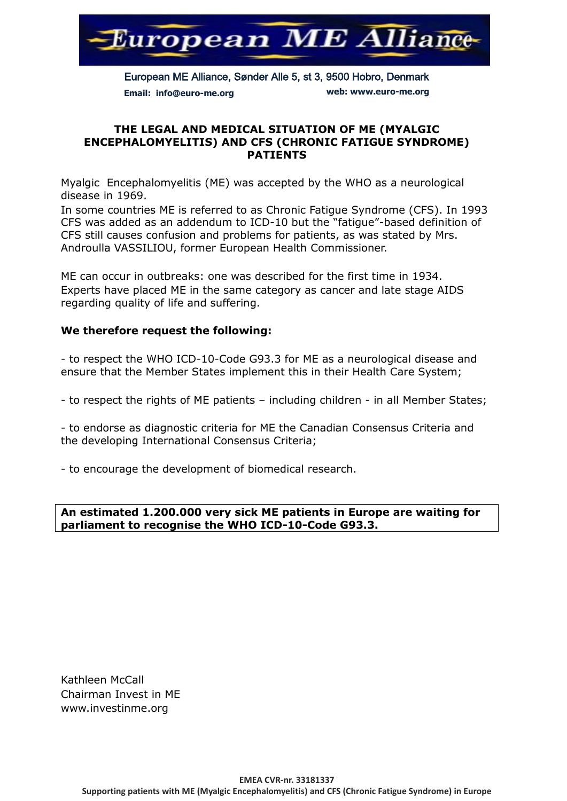

European ME Alliance, Sønder Alle 5, st 3, 9500 Hobro, Denmark **Email: info@euro-me.org web: www.euro-me.org**

### **THE LEGAL AND MEDICAL SITUATION OF ME (MYALGIC ENCEPHALOMYELITIS) AND CFS (CHRONIC FATIGUE SYNDROME) PATIENTS**

Myalgic Encephalomyelitis (ME) was accepted by the WHO as a neurological disease in 1969.

In some countries ME is referred to as Chronic Fatigue Syndrome (CFS). In 1993 CFS was added as an addendum to ICD-10 but the "fatigue"-based definition of CFS still causes confusion and problems for patients, as was stated by Mrs. Androulla VASSILIOU, former European Health Commissioner.

ME can occur in outbreaks: one was described for the first time in 1934. Experts have placed ME in the same category as cancer and late stage AIDS regarding quality of life and suffering.

## **We therefore request the following:**

- to respect the WHO ICD-10-Code G93.3 for ME as a neurological disease and ensure that the Member States implement this in their Health Care System;

- to respect the rights of ME patients – including children - in all Member States;

- to endorse as diagnostic criteria for ME the Canadian Consensus Criteria and the developing International Consensus Criteria;

- to encourage the development of biomedical research.

### **An estimated 1.200.000 very sick ME patients in Europe are waiting for parliament to recognise the WHO ICD-10-Code G93.3.**

Kathleen McCall Chairman Invest in ME www.investinme.org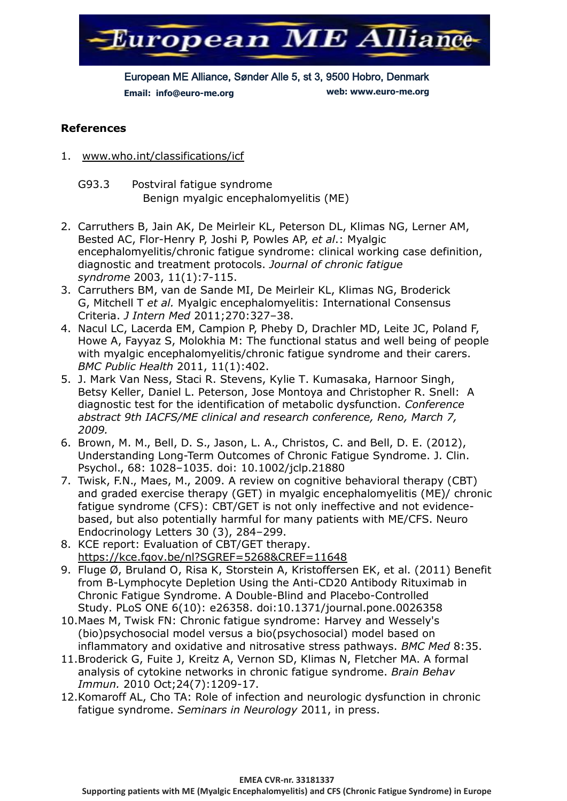

European ME Alliance, Sønder Alle 5, st 3, 9500 Hobro, Denmark **Email: info@euro-me.org web: www.euro-me.org**

# **References**

- 1. [www.who.int/classifications/icf](http://www.who.int/classifications/icf)
	- G93.3 Postviral fatigue syndrome Benign myalgic encephalomyelitis (ME)
- 2. Carruthers B, Jain AK, De Meirleir KL, Peterson DL, Klimas NG, Lerner AM, Bested AC, Flor-Henry P, Joshi P, Powles AP, *et al*.: Myalgic encephalomyelitis/chronic fatigue syndrome: clinical working case definition, diagnostic and treatment protocols. *Journal of chronic fatigue syndrome* 2003, 11(1):7-115.
- 3. Carruthers BM, van de Sande MI, De Meirleir KL, Klimas NG, Broderick G, Mitchell T *et al.* Myalgic encephalomyelitis: International Consensus Criteria. *J Intern Med* 2011;270:327–38.
- 4. Nacul LC, Lacerda EM, Campion P, Pheby D, Drachler MD, Leite JC, Poland F, Howe A, Fayyaz S, Molokhia M: The functional status and well being of people with myalgic encephalomyelitis/chronic fatigue syndrome and their carers. *BMC Public Health* 2011, 11(1):402.
- 5. J. Mark Van Ness, Staci R. Stevens, Kylie T. Kumasaka, Harnoor Singh, Betsy Keller, Daniel L. Peterson, Jose Montoya and Christopher R. Snell: A diagnostic test for the identification of metabolic dysfunction. *Conference abstract 9th IACFS/ME clinical and research conference, Reno, March 7, 2009.*
- 6. Brown, M. M., Bell, D. S., Jason, L. A., Christos, C. and Bell, D. E. (2012), Understanding Long-Term Outcomes of Chronic Fatigue Syndrome. J. Clin. Psychol., 68: 1028–1035. doi: 10.1002/jclp.21880
- 7. Twisk, F.N., Maes, M., 2009. A review on cognitive behavioral therapy (CBT) and graded exercise therapy (GET) in myalgic encephalomyelitis (ME)/ chronic fatigue syndrome (CFS): CBT/GET is not only ineffective and not evidencebased, but also potentially harmful for many patients with ME/CFS. Neuro Endocrinology Letters 30 (3), 284–299.
- 8. KCE report: Evaluation of CBT/GET therapy. <https://kce.fgov.be/nl?SGREF=5268&CREF=11648>
- 9. Fluge Ø, Bruland O, Risa K, Storstein A, Kristoffersen EK, et al. (2011) Benefit from B-Lymphocyte Depletion Using the Anti-CD20 Antibody Rituximab in Chronic Fatigue Syndrome. A Double-Blind and Placebo-Controlled Study. PLoS ONE 6(10): e26358. doi:10.1371/journal.pone.0026358
- 10.Maes M, Twisk FN: Chronic fatigue syndrome: Harvey and Wessely's (bio)psychosocial model versus a bio(psychosocial) model based on inflammatory and oxidative and nitrosative stress pathways. *BMC Med* 8:35.
- 11.Broderick G, Fuite J, Kreitz A, Vernon SD, Klimas N, Fletcher MA. A formal analysis of cytokine networks in chronic fatigue syndrome. *Brain Behav Immun.* 2010 Oct;24(7):1209-17.
- 12.Komaroff AL, Cho TA: Role of infection and neurologic dysfunction in chronic fatigue syndrome. *Seminars in Neurology* 2011, in press.